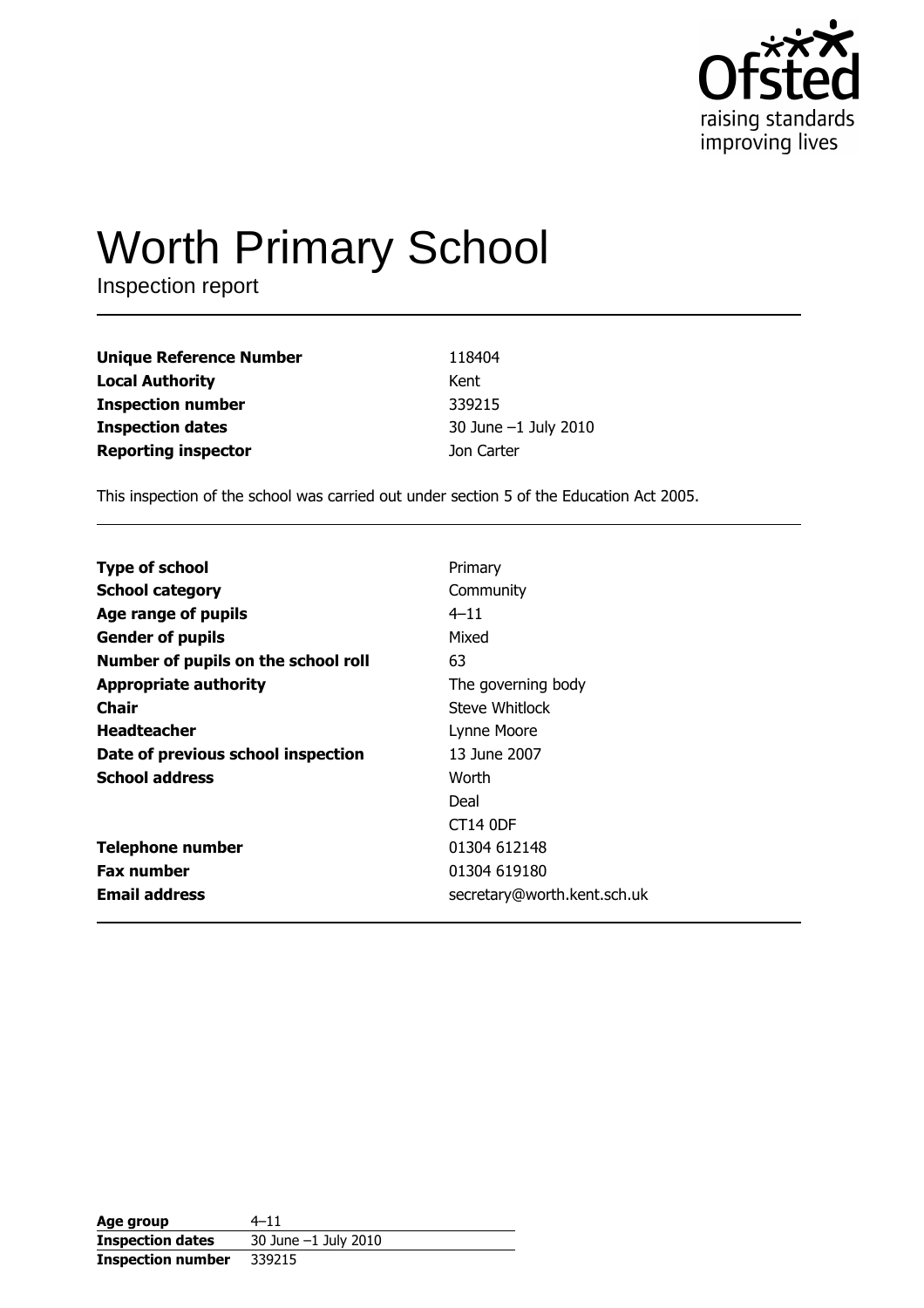

# **Worth Primary School**

Inspection report

| <b>Unique Reference Number</b> | 118404               |
|--------------------------------|----------------------|
| <b>Local Authority</b>         | Kent                 |
| <b>Inspection number</b>       | 339215               |
| <b>Inspection dates</b>        | 30 June -1 July 2010 |
| <b>Reporting inspector</b>     | Jon Carter           |

This inspection of the school was carried out under section 5 of the Education Act 2005.

| <b>Type of school</b>               | Primary                     |
|-------------------------------------|-----------------------------|
| <b>School category</b>              | Community                   |
| Age range of pupils                 | $4 - 11$                    |
| <b>Gender of pupils</b>             | Mixed                       |
| Number of pupils on the school roll | 63                          |
| <b>Appropriate authority</b>        | The governing body          |
| Chair                               | Steve Whitlock              |
| <b>Headteacher</b>                  | Lynne Moore                 |
| Date of previous school inspection  | 13 June 2007                |
| <b>School address</b>               | Worth                       |
|                                     | Deal                        |
|                                     | CT14 ODF                    |
| <b>Telephone number</b>             | 01304 612148                |
| <b>Fax number</b>                   | 01304 619180                |
| <b>Email address</b>                | secretary@worth.kent.sch.uk |
|                                     |                             |

| Age group                | 4–11                   |
|--------------------------|------------------------|
| <b>Inspection dates</b>  | 30 June $-1$ July 2010 |
| <b>Inspection number</b> | 339215                 |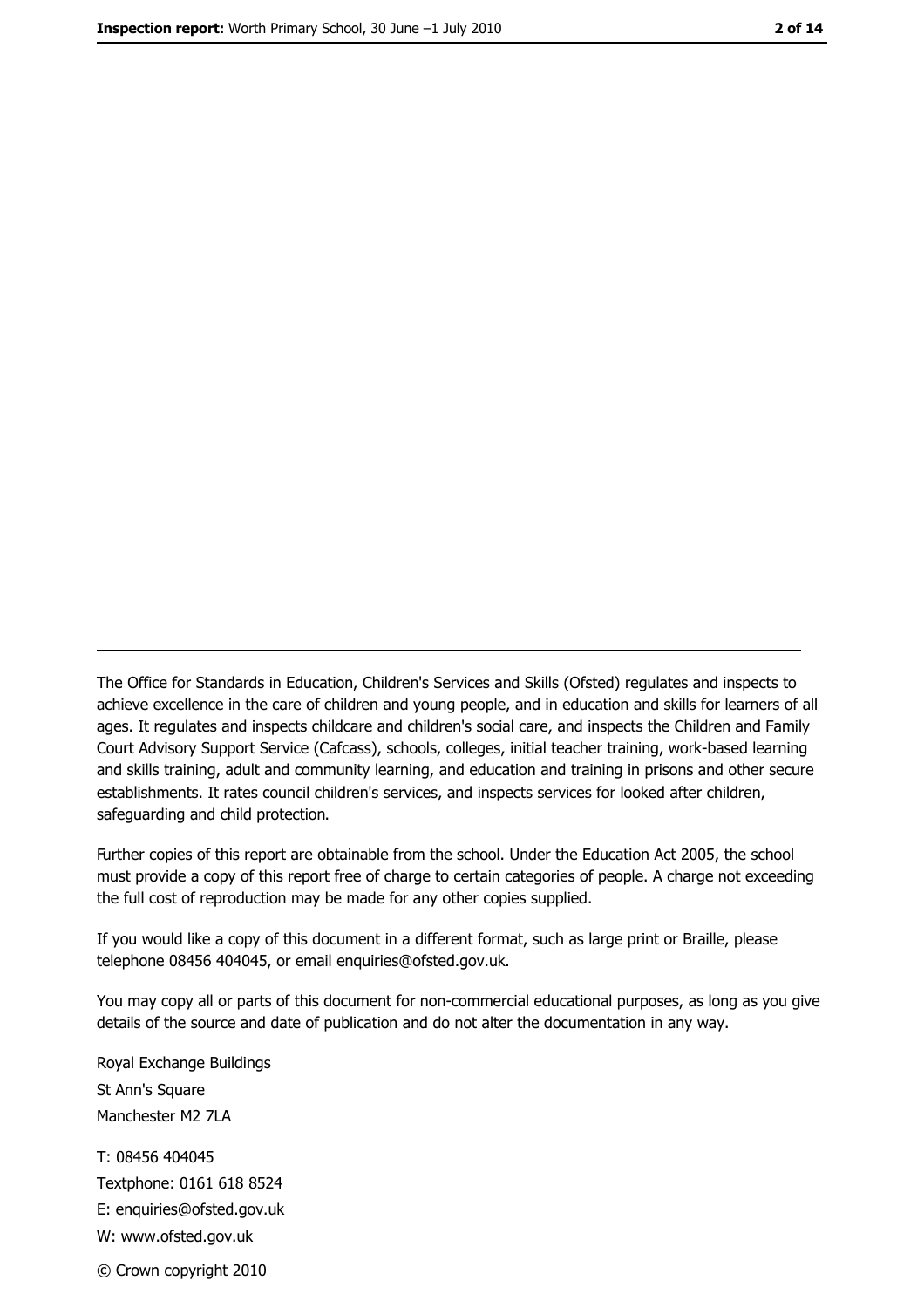The Office for Standards in Education, Children's Services and Skills (Ofsted) regulates and inspects to achieve excellence in the care of children and young people, and in education and skills for learners of all ages. It regulates and inspects childcare and children's social care, and inspects the Children and Family Court Advisory Support Service (Cafcass), schools, colleges, initial teacher training, work-based learning and skills training, adult and community learning, and education and training in prisons and other secure establishments. It rates council children's services, and inspects services for looked after children, safequarding and child protection.

Further copies of this report are obtainable from the school. Under the Education Act 2005, the school must provide a copy of this report free of charge to certain categories of people. A charge not exceeding the full cost of reproduction may be made for any other copies supplied.

If you would like a copy of this document in a different format, such as large print or Braille, please telephone 08456 404045, or email enquiries@ofsted.gov.uk.

You may copy all or parts of this document for non-commercial educational purposes, as long as you give details of the source and date of publication and do not alter the documentation in any way.

Royal Exchange Buildings St Ann's Square Manchester M2 7LA T: 08456 404045 Textphone: 0161 618 8524 E: enquiries@ofsted.gov.uk W: www.ofsted.gov.uk © Crown copyright 2010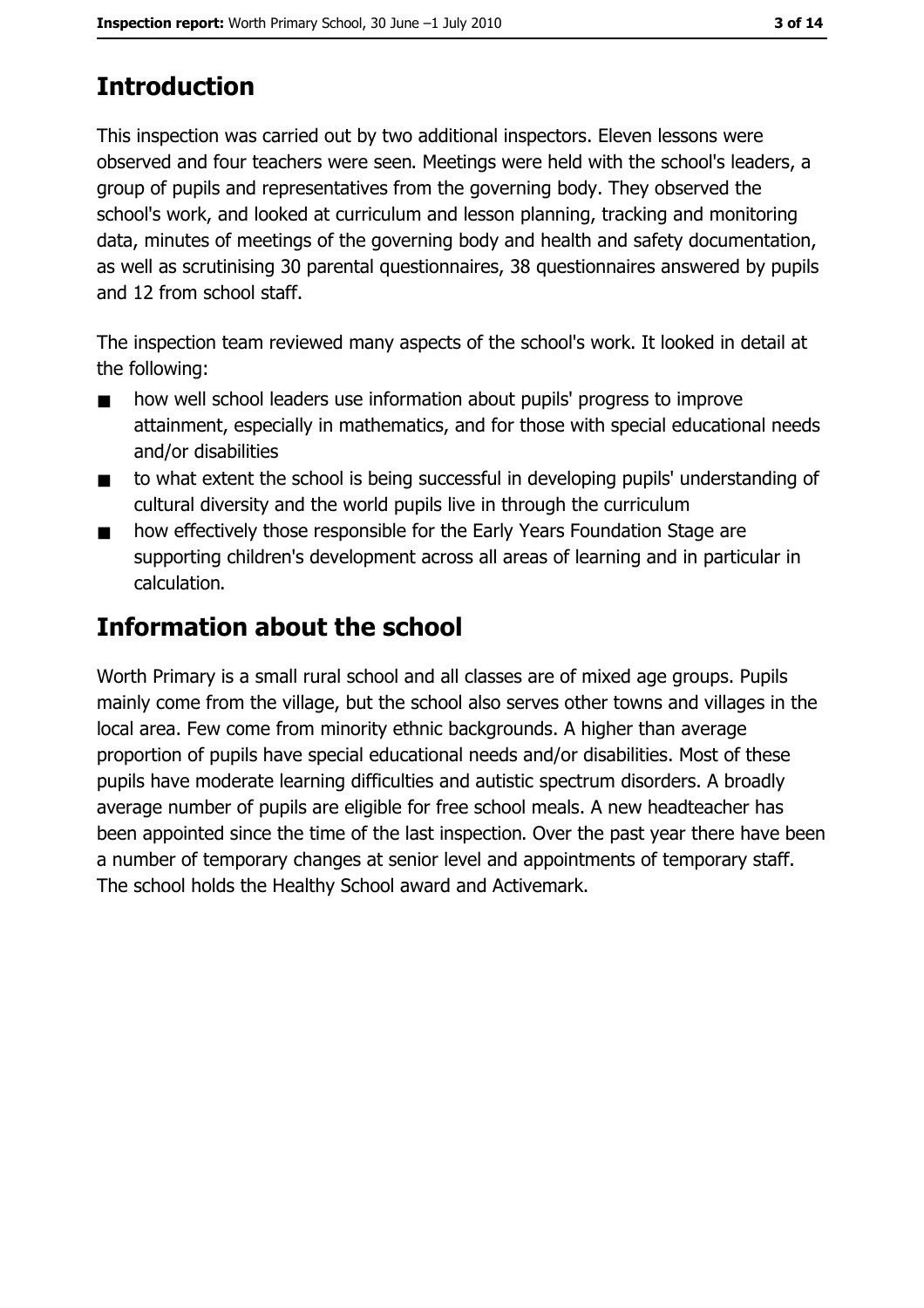# **Introduction**

This inspection was carried out by two additional inspectors. Eleven lessons were observed and four teachers were seen. Meetings were held with the school's leaders, a group of pupils and representatives from the governing body. They observed the school's work, and looked at curriculum and lesson planning, tracking and monitoring data, minutes of meetings of the governing body and health and safety documentation, as well as scrutinising 30 parental questionnaires, 38 questionnaires answered by pupils and 12 from school staff.

The inspection team reviewed many aspects of the school's work. It looked in detail at the following:

- how well school leaders use information about pupils' progress to improve  $\blacksquare$ attainment, especially in mathematics, and for those with special educational needs and/or disabilities
- to what extent the school is being successful in developing pupils' understanding of  $\blacksquare$ cultural diversity and the world pupils live in through the curriculum
- how effectively those responsible for the Early Years Foundation Stage are  $\blacksquare$ supporting children's development across all areas of learning and in particular in calculation.

## **Information about the school**

Worth Primary is a small rural school and all classes are of mixed age groups. Pupils mainly come from the village, but the school also serves other towns and villages in the local area. Few come from minority ethnic backgrounds. A higher than average proportion of pupils have special educational needs and/or disabilities. Most of these pupils have moderate learning difficulties and autistic spectrum disorders. A broadly average number of pupils are eligible for free school meals. A new headteacher has been appointed since the time of the last inspection. Over the past year there have been a number of temporary changes at senior level and appointments of temporary staff. The school holds the Healthy School award and Activemark.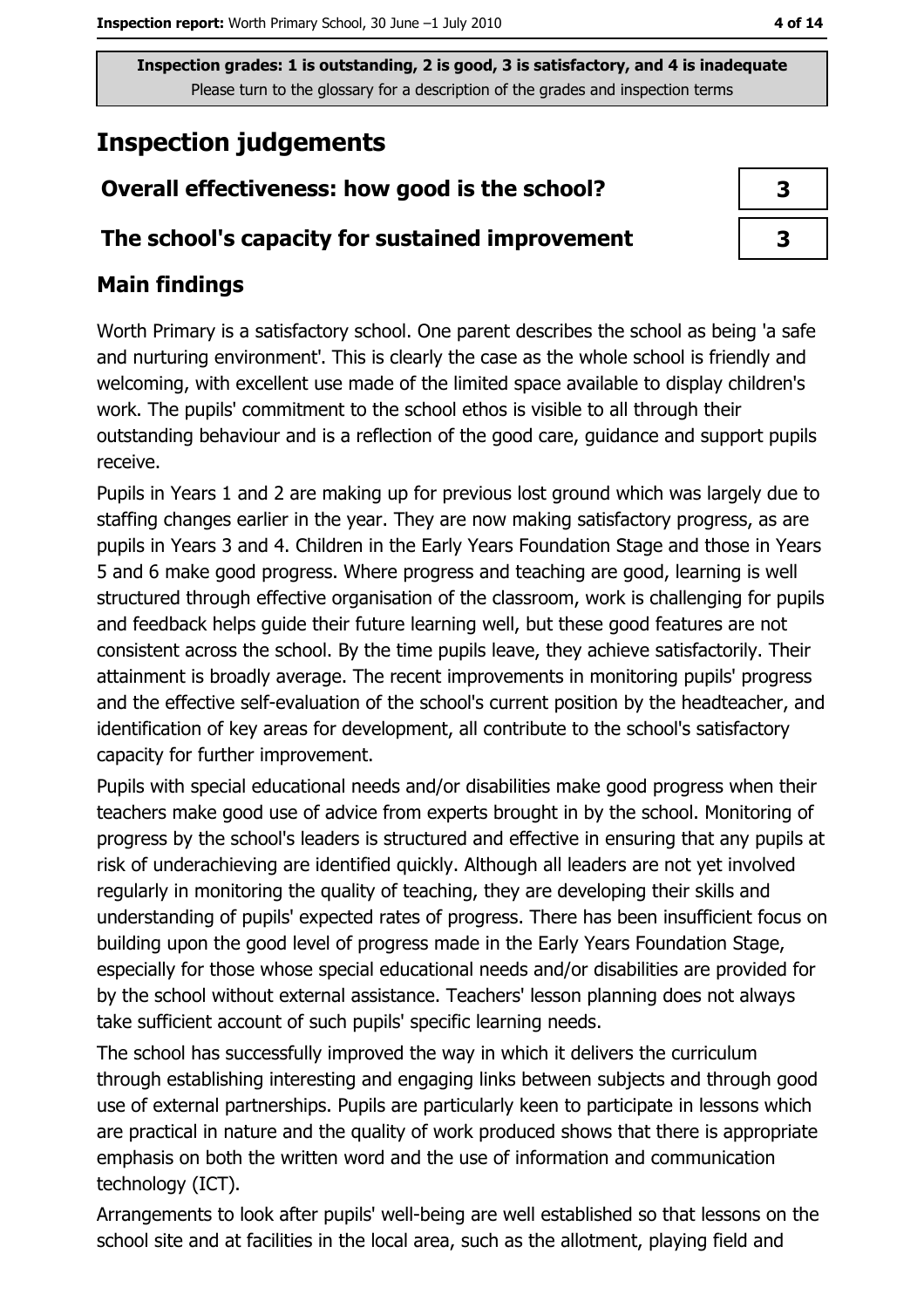# **Inspection judgements**

## Overall effectiveness: how good is the school?

#### The school's capacity for sustained improvement

## **Main findings**

Worth Primary is a satisfactory school. One parent describes the school as being 'a safe and nurturing environment'. This is clearly the case as the whole school is friendly and welcoming, with excellent use made of the limited space available to display children's work. The pupils' commitment to the school ethos is visible to all through their outstanding behaviour and is a reflection of the good care, guidance and support pupils receive.

Pupils in Years 1 and 2 are making up for previous lost ground which was largely due to staffing changes earlier in the year. They are now making satisfactory progress, as are pupils in Years 3 and 4. Children in the Early Years Foundation Stage and those in Years 5 and 6 make good progress. Where progress and teaching are good, learning is well structured through effective organisation of the classroom, work is challenging for pupils and feedback helps guide their future learning well, but these good features are not consistent across the school. By the time pupils leave, they achieve satisfactorily. Their attainment is broadly average. The recent improvements in monitoring pupils' progress and the effective self-evaluation of the school's current position by the headteacher, and identification of key areas for development, all contribute to the school's satisfactory capacity for further improvement.

Pupils with special educational needs and/or disabilities make good progress when their teachers make good use of advice from experts brought in by the school. Monitoring of progress by the school's leaders is structured and effective in ensuring that any pupils at risk of underachieving are identified quickly. Although all leaders are not yet involved regularly in monitoring the quality of teaching, they are developing their skills and understanding of pupils' expected rates of progress. There has been insufficient focus on building upon the good level of progress made in the Early Years Foundation Stage, especially for those whose special educational needs and/or disabilities are provided for by the school without external assistance. Teachers' lesson planning does not always take sufficient account of such pupils' specific learning needs.

The school has successfully improved the way in which it delivers the curriculum through establishing interesting and engaging links between subjects and through good use of external partnerships. Pupils are particularly keen to participate in lessons which are practical in nature and the quality of work produced shows that there is appropriate emphasis on both the written word and the use of information and communication technology (ICT).

Arrangements to look after pupils' well-being are well established so that lessons on the school site and at facilities in the local area, such as the allotment, playing field and

| 3 |  |
|---|--|
| 3 |  |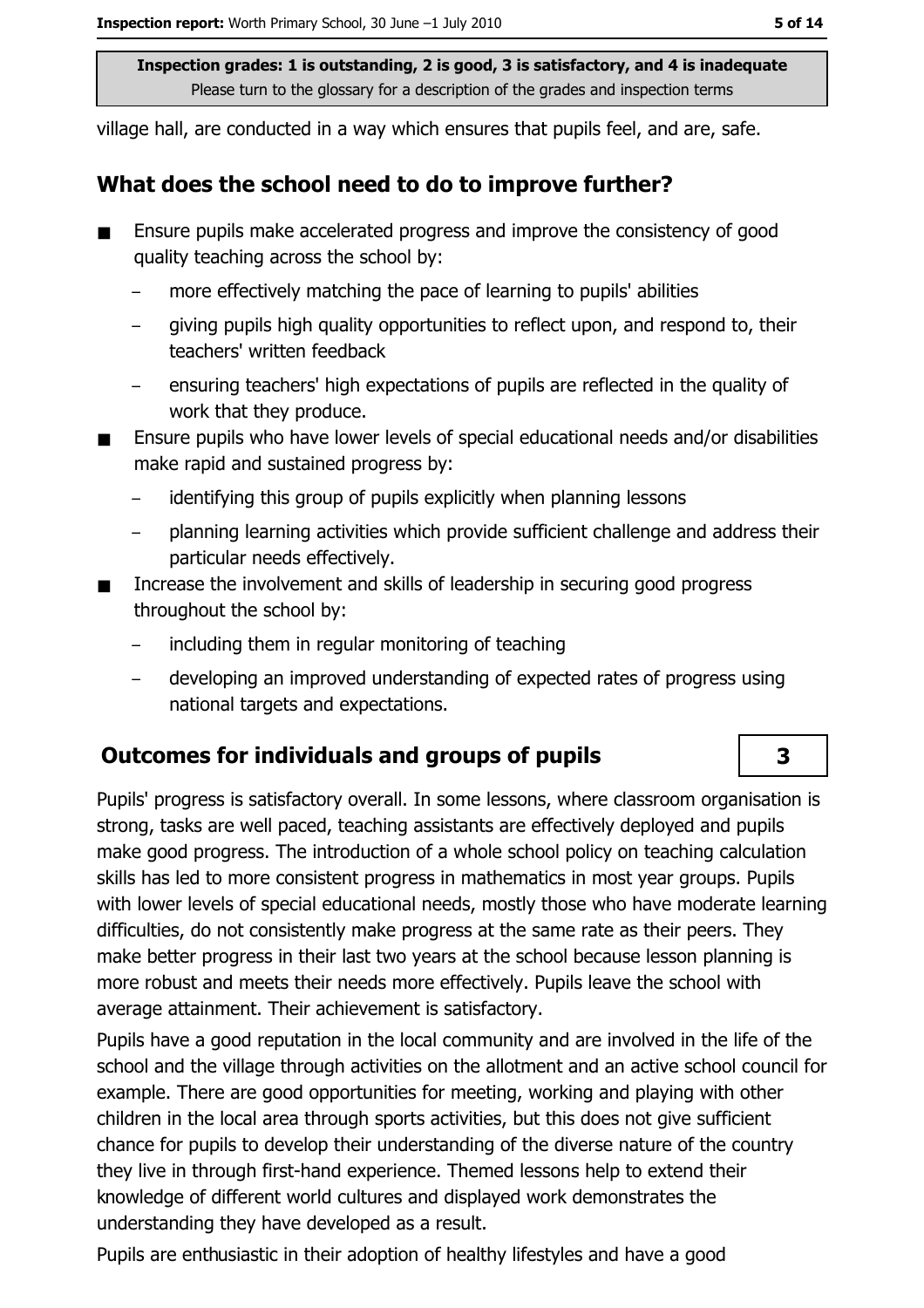village hall, are conducted in a way which ensures that pupils feel, and are, safe.

#### What does the school need to do to improve further?

- Ensure pupils make accelerated progress and improve the consistency of good quality teaching across the school by:
	- more effectively matching the pace of learning to pupils' abilities
	- giving pupils high quality opportunities to reflect upon, and respond to, their teachers' written feedback
	- ensuring teachers' high expectations of pupils are reflected in the quality of  $$ work that they produce.
- Ensure pupils who have lower levels of special educational needs and/or disabilities make rapid and sustained progress by:
	- identifying this group of pupils explicitly when planning lessons
	- planning learning activities which provide sufficient challenge and address their particular needs effectively.
- Increase the involvement and skills of leadership in securing good progress  $\blacksquare$ throughout the school by:
	- including them in regular monitoring of teaching
	- developing an improved understanding of expected rates of progress using national targets and expectations.

#### **Outcomes for individuals and groups of pupils**

Pupils' progress is satisfactory overall. In some lessons, where classroom organisation is strong, tasks are well paced, teaching assistants are effectively deployed and pupils make good progress. The introduction of a whole school policy on teaching calculation skills has led to more consistent progress in mathematics in most year groups. Pupils with lower levels of special educational needs, mostly those who have moderate learning difficulties, do not consistently make progress at the same rate as their peers. They make better progress in their last two years at the school because lesson planning is more robust and meets their needs more effectively. Pupils leave the school with average attainment. Their achievement is satisfactory.

Pupils have a good reputation in the local community and are involved in the life of the school and the village through activities on the allotment and an active school council for example. There are good opportunities for meeting, working and playing with other children in the local area through sports activities, but this does not give sufficient chance for pupils to develop their understanding of the diverse nature of the country they live in through first-hand experience. Themed lessons help to extend their knowledge of different world cultures and displayed work demonstrates the understanding they have developed as a result.

Pupils are enthusiastic in their adoption of healthy lifestyles and have a good

#### $\overline{\mathbf{3}}$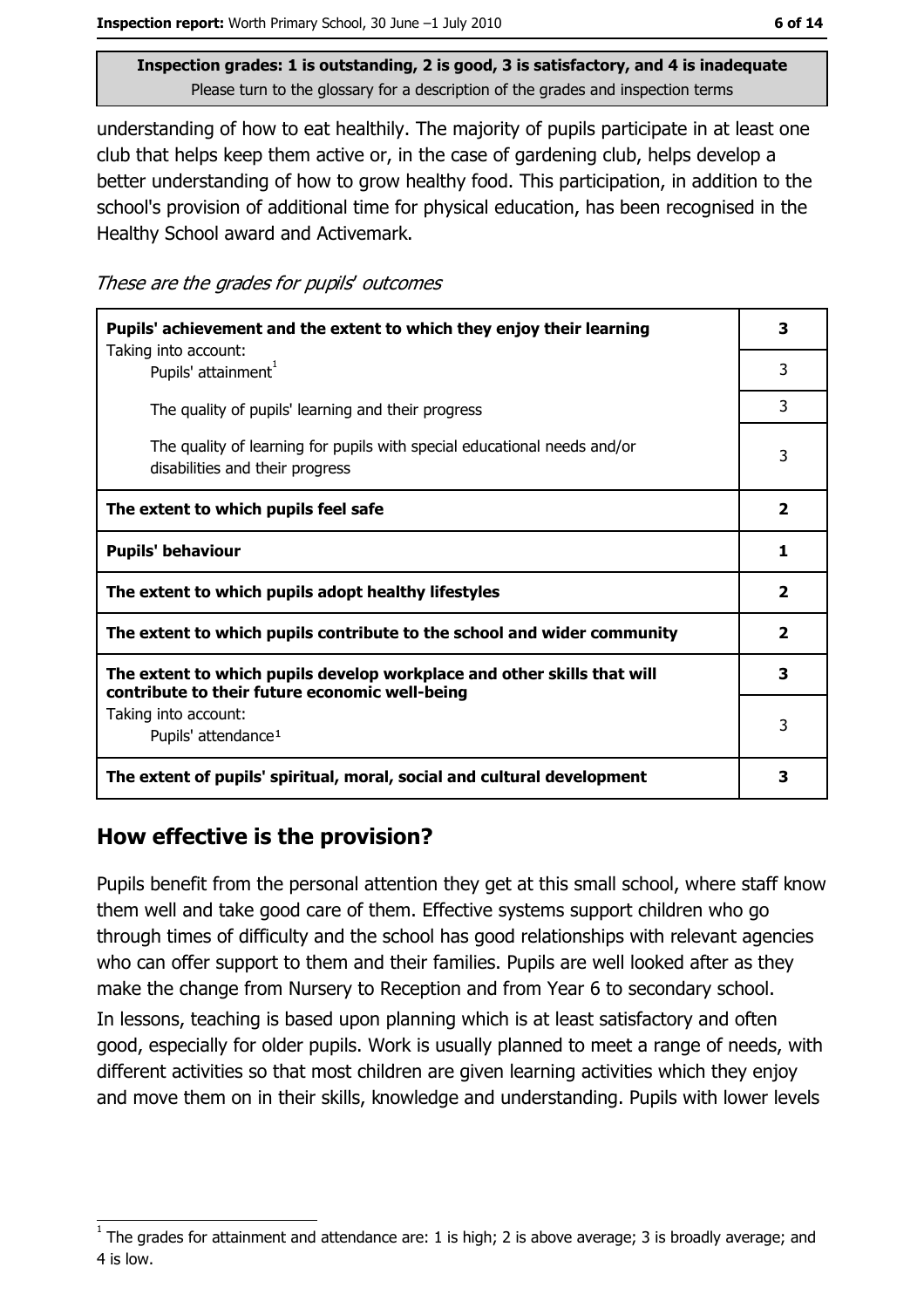understanding of how to eat healthily. The majority of pupils participate in at least one club that helps keep them active or, in the case of gardening club, helps develop a better understanding of how to grow healthy food. This participation, in addition to the school's provision of additional time for physical education, has been recognised in the Healthy School award and Activemark.

These are the grades for pupils' outcomes

| Pupils' achievement and the extent to which they enjoy their learning                                                     |                         |
|---------------------------------------------------------------------------------------------------------------------------|-------------------------|
| Taking into account:<br>Pupils' attainment <sup>1</sup>                                                                   | 3                       |
| The quality of pupils' learning and their progress                                                                        | 3                       |
| The quality of learning for pupils with special educational needs and/or<br>disabilities and their progress               | 3                       |
| The extent to which pupils feel safe                                                                                      | $\overline{\mathbf{2}}$ |
| <b>Pupils' behaviour</b>                                                                                                  |                         |
| The extent to which pupils adopt healthy lifestyles                                                                       |                         |
| The extent to which pupils contribute to the school and wider community                                                   |                         |
| The extent to which pupils develop workplace and other skills that will<br>contribute to their future economic well-being |                         |
| Taking into account:<br>Pupils' attendance <sup>1</sup>                                                                   | 3                       |
| The extent of pupils' spiritual, moral, social and cultural development                                                   | 3                       |

### How effective is the provision?

Pupils benefit from the personal attention they get at this small school, where staff know them well and take good care of them. Effective systems support children who go through times of difficulty and the school has good relationships with relevant agencies who can offer support to them and their families. Pupils are well looked after as they make the change from Nursery to Reception and from Year 6 to secondary school. In lessons, teaching is based upon planning which is at least satisfactory and often good, especially for older pupils. Work is usually planned to meet a range of needs, with different activities so that most children are given learning activities which they enjoy and move them on in their skills, knowledge and understanding. Pupils with lower levels

The grades for attainment and attendance are: 1 is high; 2 is above average; 3 is broadly average; and 4 is low.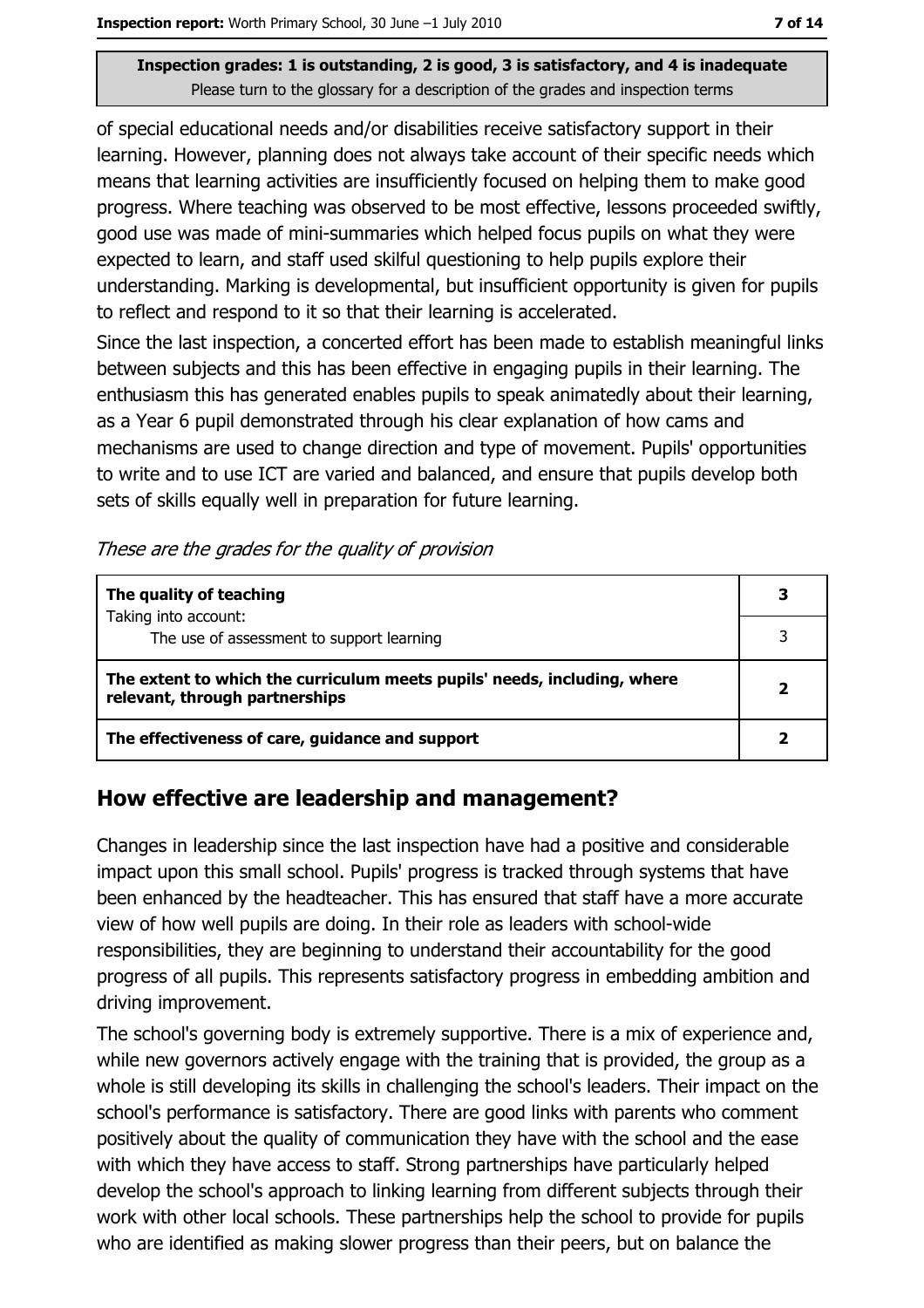of special educational needs and/or disabilities receive satisfactory support in their learning. However, planning does not always take account of their specific needs which means that learning activities are insufficiently focused on helping them to make good progress. Where teaching was observed to be most effective, lessons proceeded swiftly, good use was made of mini-summaries which helped focus pupils on what they were expected to learn, and staff used skilful questioning to help pupils explore their understanding. Marking is developmental, but insufficient opportunity is given for pupils to reflect and respond to it so that their learning is accelerated.

Since the last inspection, a concerted effort has been made to establish meaningful links between subjects and this has been effective in engaging pupils in their learning. The enthusiasm this has generated enables pupils to speak animatedly about their learning, as a Year 6 pupil demonstrated through his clear explanation of how cams and mechanisms are used to change direction and type of movement. Pupils' opportunities to write and to use ICT are varied and balanced, and ensure that pupils develop both sets of skills equally well in preparation for future learning.

These are the grades for the quality of provision

| The quality of teaching                                                                                    |  |
|------------------------------------------------------------------------------------------------------------|--|
| Taking into account:<br>The use of assessment to support learning                                          |  |
| The extent to which the curriculum meets pupils' needs, including, where<br>relevant, through partnerships |  |
| The effectiveness of care, guidance and support                                                            |  |

#### How effective are leadership and management?

Changes in leadership since the last inspection have had a positive and considerable impact upon this small school. Pupils' progress is tracked through systems that have been enhanced by the headteacher. This has ensured that staff have a more accurate view of how well pupils are doing. In their role as leaders with school-wide responsibilities, they are beginning to understand their accountability for the good progress of all pupils. This represents satisfactory progress in embedding ambition and driving improvement.

The school's governing body is extremely supportive. There is a mix of experience and, while new governors actively engage with the training that is provided, the group as a whole is still developing its skills in challenging the school's leaders. Their impact on the school's performance is satisfactory. There are good links with parents who comment positively about the quality of communication they have with the school and the ease with which they have access to staff. Strong partnerships have particularly helped develop the school's approach to linking learning from different subjects through their work with other local schools. These partnerships help the school to provide for pupils who are identified as making slower progress than their peers, but on balance the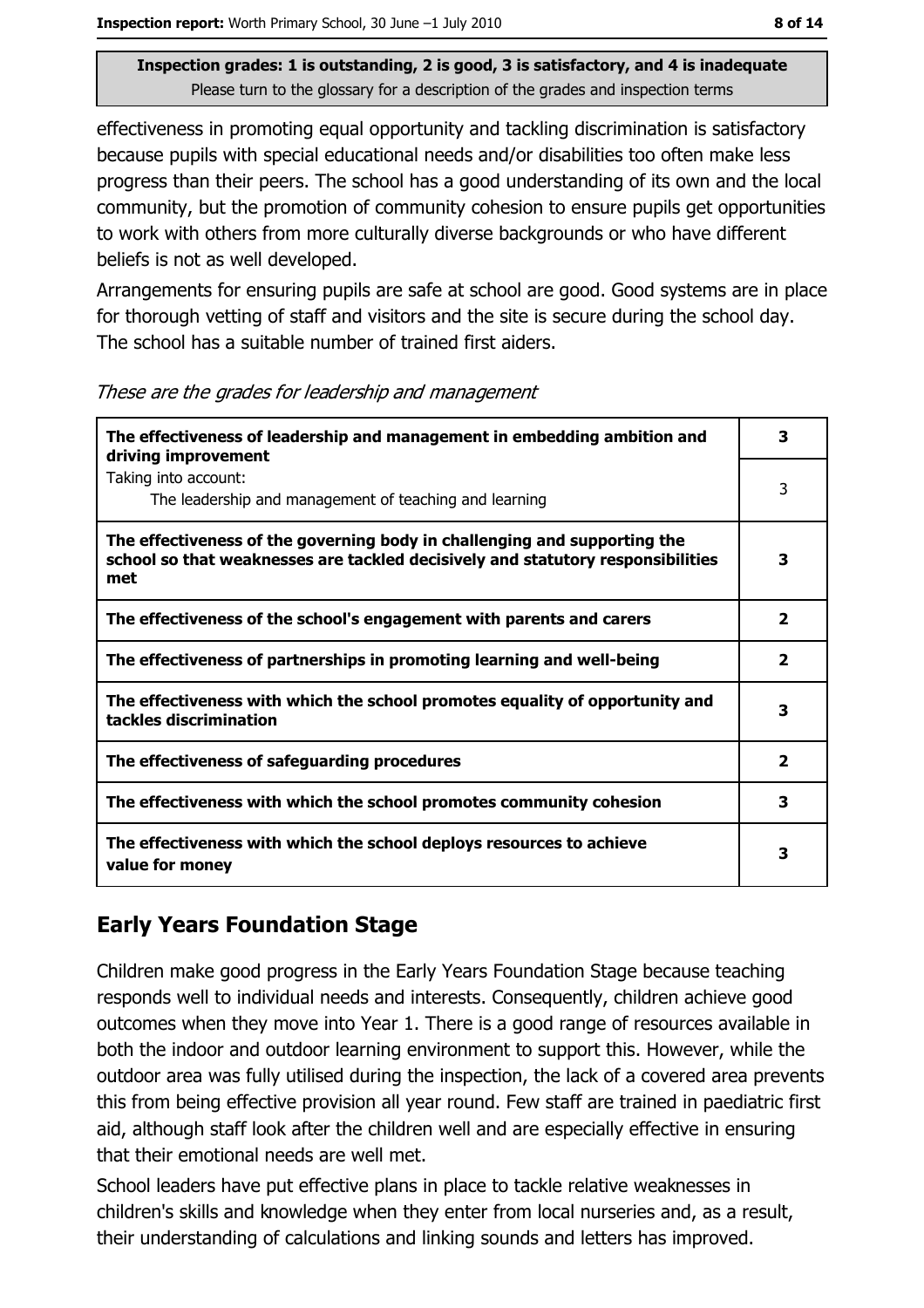effectiveness in promoting equal opportunity and tackling discrimination is satisfactory because pupils with special educational needs and/or disabilities too often make less progress than their peers. The school has a good understanding of its own and the local community, but the promotion of community cohesion to ensure pupils get opportunities to work with others from more culturally diverse backgrounds or who have different beliefs is not as well developed.

Arrangements for ensuring pupils are safe at school are good. Good systems are in place for thorough vetting of staff and visitors and the site is secure during the school day. The school has a suitable number of trained first aiders.

These are the grades for leadership and management

| The effectiveness of leadership and management in embedding ambition and<br>driving improvement                                                                     | з                       |
|---------------------------------------------------------------------------------------------------------------------------------------------------------------------|-------------------------|
| Taking into account:<br>The leadership and management of teaching and learning                                                                                      | 3                       |
| The effectiveness of the governing body in challenging and supporting the<br>school so that weaknesses are tackled decisively and statutory responsibilities<br>met | 3                       |
| The effectiveness of the school's engagement with parents and carers                                                                                                | $\overline{\mathbf{2}}$ |
| The effectiveness of partnerships in promoting learning and well-being                                                                                              | $\overline{\mathbf{2}}$ |
| The effectiveness with which the school promotes equality of opportunity and<br>tackles discrimination                                                              | 3                       |
| The effectiveness of safeguarding procedures                                                                                                                        | $\overline{\mathbf{2}}$ |
| The effectiveness with which the school promotes community cohesion                                                                                                 | 3                       |
| The effectiveness with which the school deploys resources to achieve<br>value for money                                                                             | з                       |

### **Early Years Foundation Stage**

Children make good progress in the Early Years Foundation Stage because teaching responds well to individual needs and interests. Consequently, children achieve good outcomes when they move into Year 1. There is a good range of resources available in both the indoor and outdoor learning environment to support this. However, while the outdoor area was fully utilised during the inspection, the lack of a covered area prevents this from being effective provision all year round. Few staff are trained in paediatric first aid, although staff look after the children well and are especially effective in ensuring that their emotional needs are well met.

School leaders have put effective plans in place to tackle relative weaknesses in children's skills and knowledge when they enter from local nurseries and, as a result, their understanding of calculations and linking sounds and letters has improved.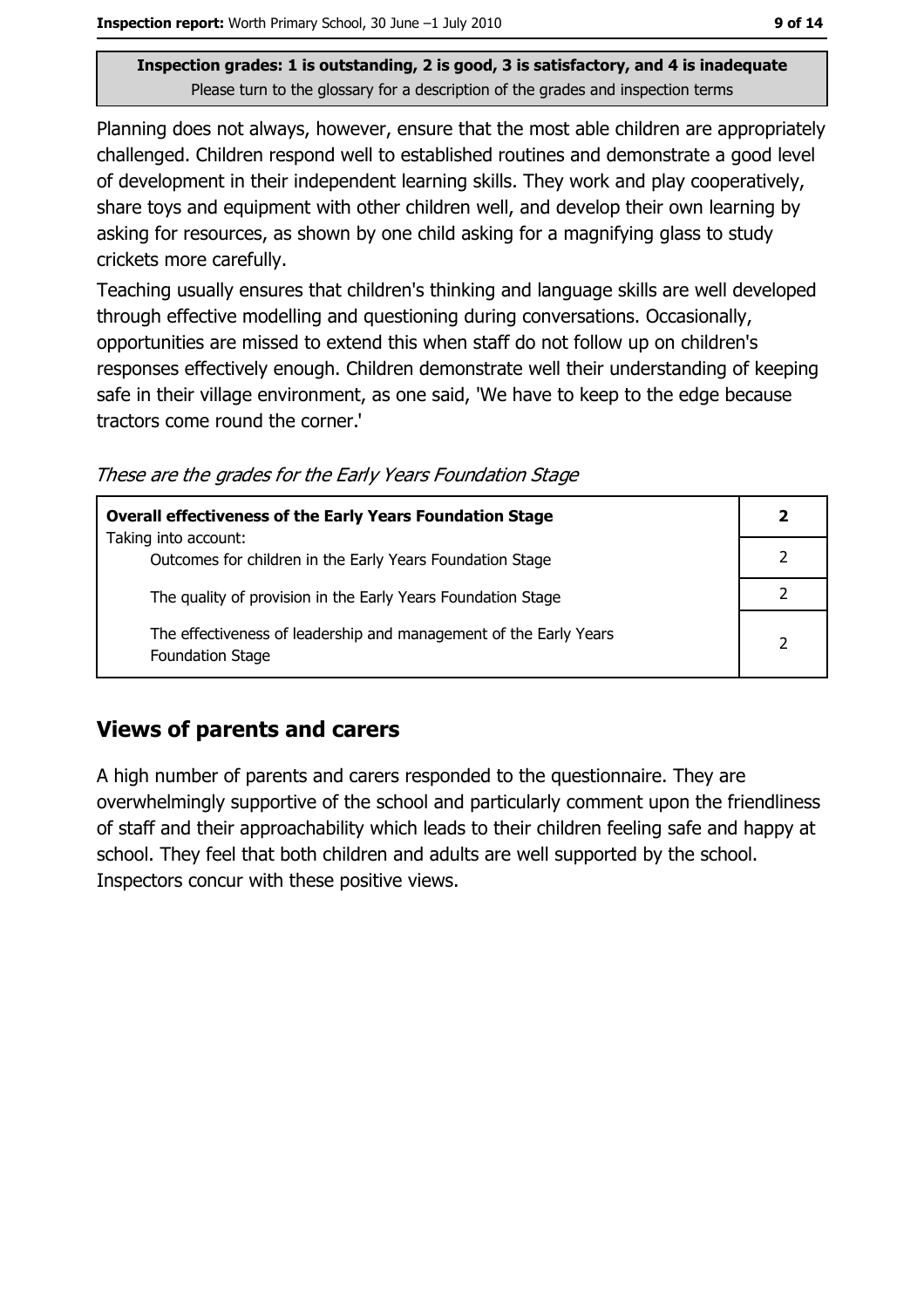Planning does not always, however, ensure that the most able children are appropriately challenged. Children respond well to established routines and demonstrate a good level of development in their independent learning skills. They work and play cooperatively, share toys and equipment with other children well, and develop their own learning by asking for resources, as shown by one child asking for a magnifying glass to study crickets more carefully.

Teaching usually ensures that children's thinking and language skills are well developed through effective modelling and questioning during conversations. Occasionally, opportunities are missed to extend this when staff do not follow up on children's responses effectively enough. Children demonstrate well their understanding of keeping safe in their village environment, as one said, 'We have to keep to the edge because tractors come round the corner.'

These are the grades for the Early Years Foundation Stage

| <b>Overall effectiveness of the Early Years Foundation Stage</b>                             |   |
|----------------------------------------------------------------------------------------------|---|
| Taking into account:<br>Outcomes for children in the Early Years Foundation Stage            |   |
| The quality of provision in the Early Years Foundation Stage                                 |   |
| The effectiveness of leadership and management of the Early Years<br><b>Foundation Stage</b> | 2 |

### **Views of parents and carers**

A high number of parents and carers responded to the questionnaire. They are overwhelmingly supportive of the school and particularly comment upon the friendliness of staff and their approachability which leads to their children feeling safe and happy at school. They feel that both children and adults are well supported by the school. Inspectors concur with these positive views.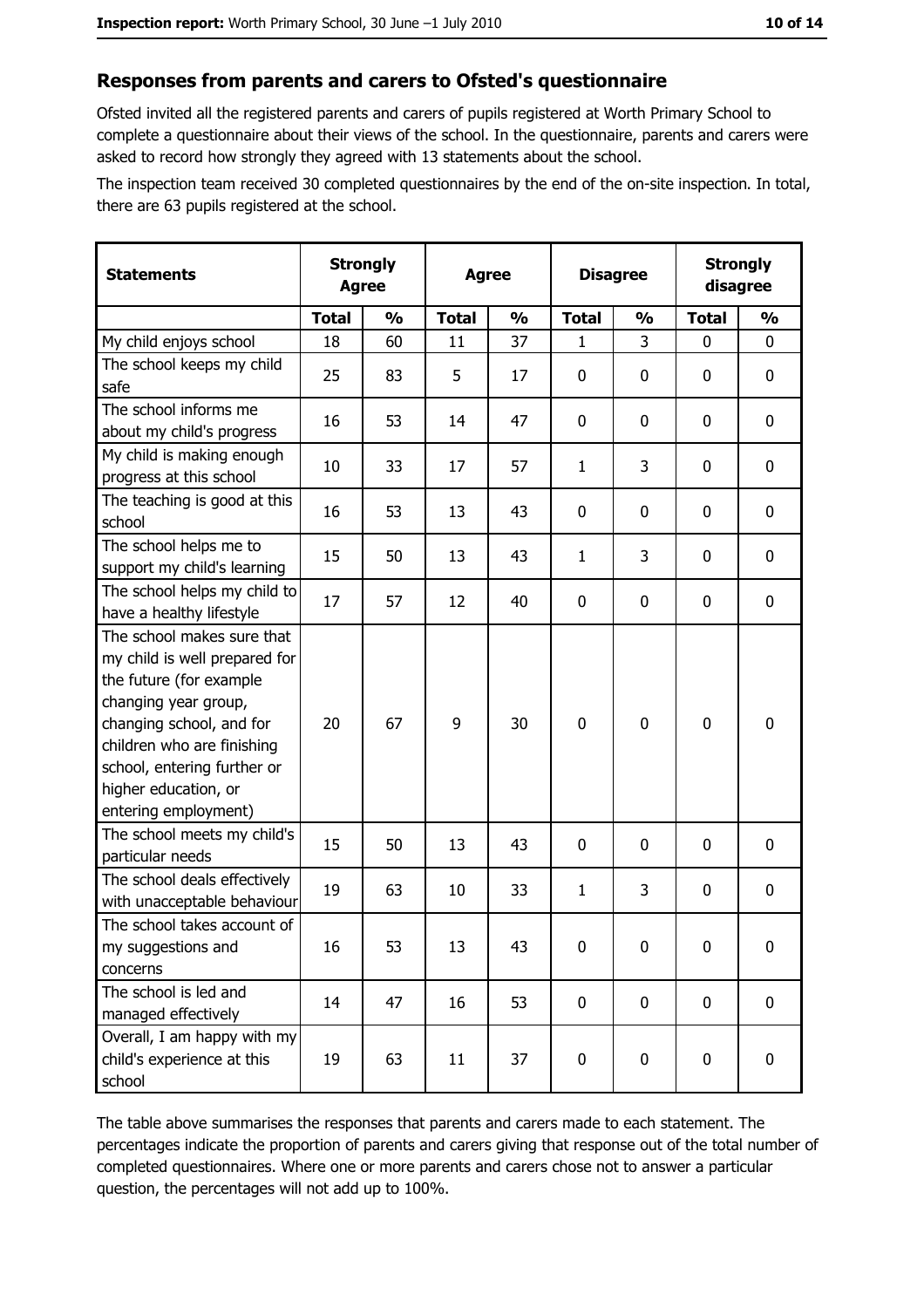#### Responses from parents and carers to Ofsted's questionnaire

Ofsted invited all the registered parents and carers of pupils registered at Worth Primary School to complete a questionnaire about their views of the school. In the questionnaire, parents and carers were asked to record how strongly they agreed with 13 statements about the school.

The inspection team received 30 completed questionnaires by the end of the on-site inspection. In total, there are 63 pupils registered at the school.

| <b>Statements</b>                                                                                                                                                                                                                                       | <b>Strongly</b><br><b>Agree</b> |               | <b>Agree</b> |               | <b>Disagree</b> |               | <b>Strongly</b><br>disagree |               |
|---------------------------------------------------------------------------------------------------------------------------------------------------------------------------------------------------------------------------------------------------------|---------------------------------|---------------|--------------|---------------|-----------------|---------------|-----------------------------|---------------|
|                                                                                                                                                                                                                                                         | <b>Total</b>                    | $\frac{0}{0}$ | <b>Total</b> | $\frac{0}{0}$ | <b>Total</b>    | $\frac{1}{2}$ | <b>Total</b>                | $\frac{1}{2}$ |
| My child enjoys school                                                                                                                                                                                                                                  | 18                              | 60            | 11           | 37            | 1               | 3             | $\Omega$                    | 0             |
| The school keeps my child<br>safe                                                                                                                                                                                                                       | 25                              | 83            | 5            | 17            | $\mathbf 0$     | 0             | 0                           | $\mathbf 0$   |
| The school informs me<br>about my child's progress                                                                                                                                                                                                      | 16                              | 53            | 14           | 47            | $\mathbf 0$     | 0             | 0                           | 0             |
| My child is making enough<br>progress at this school                                                                                                                                                                                                    | 10                              | 33            | 17           | 57            | $\mathbf{1}$    | 3             | 0                           | 0             |
| The teaching is good at this<br>school                                                                                                                                                                                                                  | 16                              | 53            | 13           | 43            | $\mathbf 0$     | 0             | 0                           | 0             |
| The school helps me to<br>support my child's learning                                                                                                                                                                                                   | 15                              | 50            | 13           | 43            | $\mathbf{1}$    | 3             | 0                           | $\mathbf 0$   |
| The school helps my child to<br>have a healthy lifestyle                                                                                                                                                                                                | 17                              | 57            | 12           | 40            | $\mathbf 0$     | 0             | 0                           | $\mathbf 0$   |
| The school makes sure that<br>my child is well prepared for<br>the future (for example<br>changing year group,<br>changing school, and for<br>children who are finishing<br>school, entering further or<br>higher education, or<br>entering employment) | 20                              | 67            | 9            | 30            | $\mathbf 0$     | 0             | $\mathbf 0$                 | $\mathbf 0$   |
| The school meets my child's<br>particular needs                                                                                                                                                                                                         | 15                              | 50            | 13           | 43            | $\mathbf 0$     | 0             | 0                           | $\mathbf 0$   |
| The school deals effectively<br>with unacceptable behaviour                                                                                                                                                                                             | 19                              | 63            | 10           | 33            | $\mathbf{1}$    | 3             | 0                           | $\mathbf 0$   |
| The school takes account of<br>my suggestions and<br>concerns                                                                                                                                                                                           | 16                              | 53            | 13           | 43            | $\mathbf 0$     | 0             | 0                           | $\bf{0}$      |
| The school is led and<br>managed effectively                                                                                                                                                                                                            | 14                              | 47            | 16           | 53            | $\mathbf 0$     | 0             | $\mathbf 0$                 | 0             |
| Overall, I am happy with my<br>child's experience at this<br>school                                                                                                                                                                                     | 19                              | 63            | 11           | 37            | $\mathbf 0$     | 0             | 0                           | 0             |

The table above summarises the responses that parents and carers made to each statement. The percentages indicate the proportion of parents and carers giving that response out of the total number of completed questionnaires. Where one or more parents and carers chose not to answer a particular question, the percentages will not add up to 100%.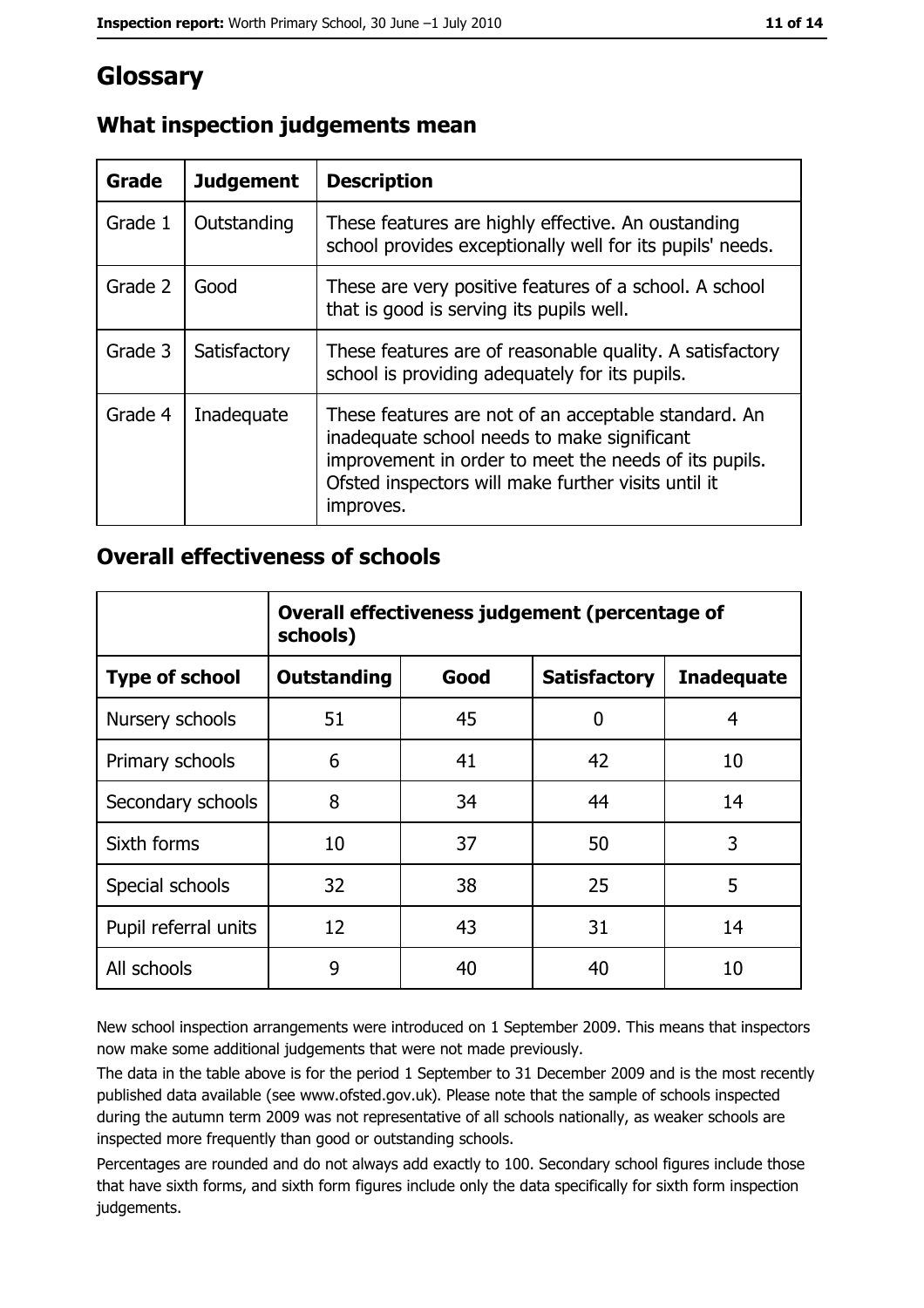## **Glossary**

| Grade   | <b>Judgement</b> | <b>Description</b>                                                                                                                                                                                                               |  |
|---------|------------------|----------------------------------------------------------------------------------------------------------------------------------------------------------------------------------------------------------------------------------|--|
| Grade 1 | Outstanding      | These features are highly effective. An oustanding<br>school provides exceptionally well for its pupils' needs.                                                                                                                  |  |
| Grade 2 | Good             | These are very positive features of a school. A school<br>that is good is serving its pupils well.                                                                                                                               |  |
| Grade 3 | Satisfactory     | These features are of reasonable quality. A satisfactory<br>school is providing adequately for its pupils.                                                                                                                       |  |
| Grade 4 | Inadequate       | These features are not of an acceptable standard. An<br>inadequate school needs to make significant<br>improvement in order to meet the needs of its pupils.<br>Ofsted inspectors will make further visits until it<br>improves. |  |

### What inspection judgements mean

#### **Overall effectiveness of schools**

|                       | Overall effectiveness judgement (percentage of<br>schools) |      |                     |                   |
|-----------------------|------------------------------------------------------------|------|---------------------|-------------------|
| <b>Type of school</b> | <b>Outstanding</b>                                         | Good | <b>Satisfactory</b> | <b>Inadequate</b> |
| Nursery schools       | 51                                                         | 45   | 0                   | 4                 |
| Primary schools       | 6                                                          | 41   | 42                  | 10                |
| Secondary schools     | 8                                                          | 34   | 44                  | 14                |
| Sixth forms           | 10                                                         | 37   | 50                  | 3                 |
| Special schools       | 32                                                         | 38   | 25                  | 5                 |
| Pupil referral units  | 12                                                         | 43   | 31                  | 14                |
| All schools           | 9                                                          | 40   | 40                  | 10                |

New school inspection arrangements were introduced on 1 September 2009. This means that inspectors now make some additional judgements that were not made previously.

The data in the table above is for the period 1 September to 31 December 2009 and is the most recently published data available (see www.ofsted.gov.uk). Please note that the sample of schools inspected during the autumn term 2009 was not representative of all schools nationally, as weaker schools are inspected more frequently than good or outstanding schools.

Percentages are rounded and do not always add exactly to 100. Secondary school figures include those that have sixth forms, and sixth form figures include only the data specifically for sixth form inspection judgements.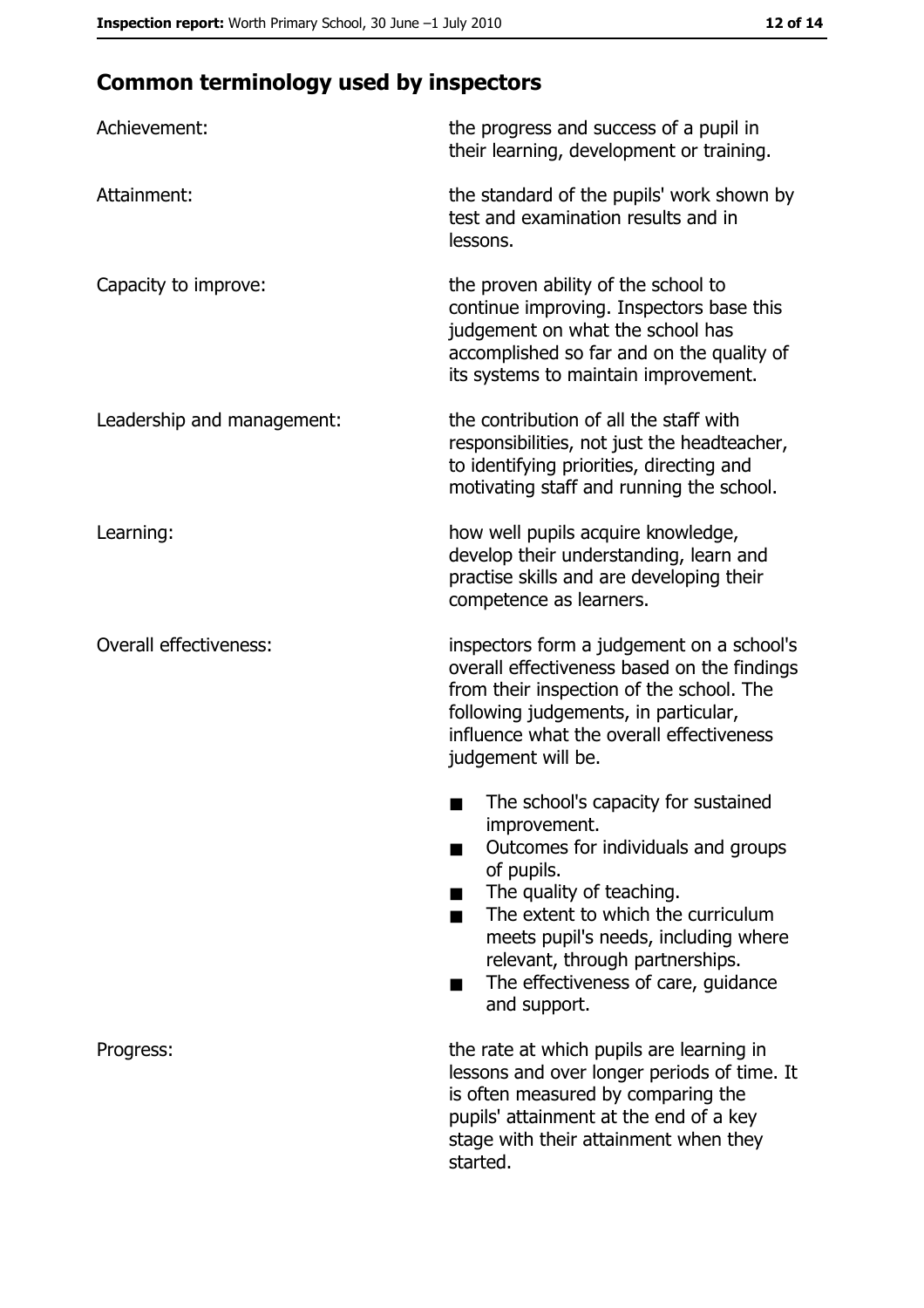# **Common terminology used by inspectors**

| Achievement:                  | the progress and success of a pupil in<br>their learning, development or training.                                                                                                                                                                                                                           |
|-------------------------------|--------------------------------------------------------------------------------------------------------------------------------------------------------------------------------------------------------------------------------------------------------------------------------------------------------------|
| Attainment:                   | the standard of the pupils' work shown by<br>test and examination results and in<br>lessons.                                                                                                                                                                                                                 |
| Capacity to improve:          | the proven ability of the school to<br>continue improving. Inspectors base this<br>judgement on what the school has<br>accomplished so far and on the quality of<br>its systems to maintain improvement.                                                                                                     |
| Leadership and management:    | the contribution of all the staff with<br>responsibilities, not just the headteacher,<br>to identifying priorities, directing and<br>motivating staff and running the school.                                                                                                                                |
| Learning:                     | how well pupils acquire knowledge,<br>develop their understanding, learn and<br>practise skills and are developing their<br>competence as learners.                                                                                                                                                          |
| <b>Overall effectiveness:</b> | inspectors form a judgement on a school's<br>overall effectiveness based on the findings<br>from their inspection of the school. The<br>following judgements, in particular,<br>influence what the overall effectiveness<br>judgement will be.                                                               |
|                               | The school's capacity for sustained<br>improvement.<br>Outcomes for individuals and groups<br>of pupils.<br>The quality of teaching.<br>The extent to which the curriculum<br>meets pupil's needs, including where<br>relevant, through partnerships.<br>The effectiveness of care, guidance<br>and support. |
| Progress:                     | the rate at which pupils are learning in<br>lessons and over longer periods of time. It<br>is often measured by comparing the<br>pupils' attainment at the end of a key<br>stage with their attainment when they<br>started.                                                                                 |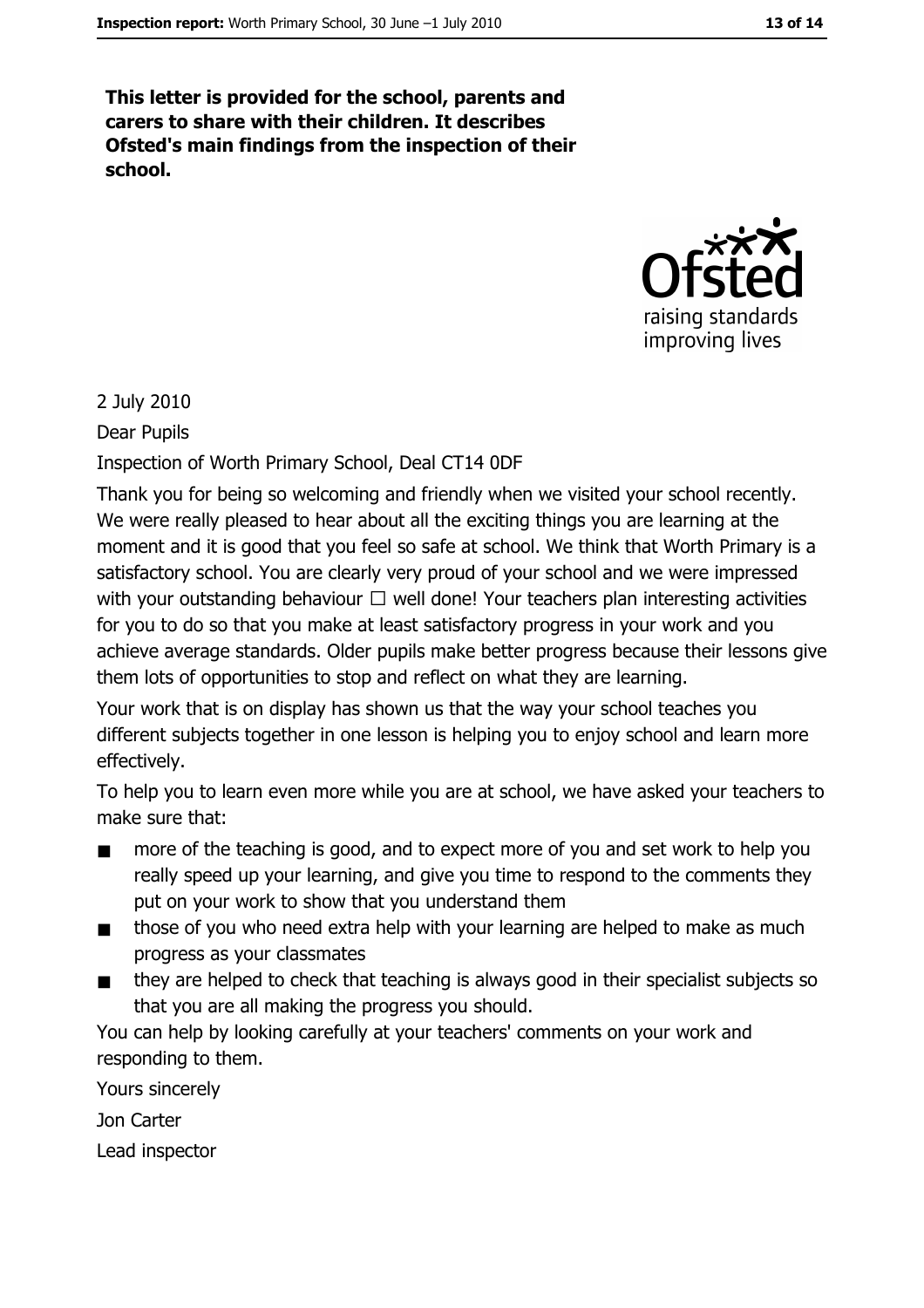This letter is provided for the school, parents and carers to share with their children. It describes Ofsted's main findings from the inspection of their school.



#### 2 July 2010

Dear Pupils

Inspection of Worth Primary School, Deal CT14 0DF

Thank you for being so welcoming and friendly when we visited your school recently. We were really pleased to hear about all the exciting things you are learning at the moment and it is good that you feel so safe at school. We think that Worth Primary is a satisfactory school. You are clearly very proud of your school and we were impressed with your outstanding behaviour  $\Box$  well done! Your teachers plan interesting activities for you to do so that you make at least satisfactory progress in your work and you achieve average standards. Older pupils make better progress because their lessons give them lots of opportunities to stop and reflect on what they are learning.

Your work that is on display has shown us that the way your school teaches you different subjects together in one lesson is helping you to enjoy school and learn more effectively.

To help you to learn even more while you are at school, we have asked your teachers to make sure that:

- more of the teaching is good, and to expect more of you and set work to help you  $\blacksquare$ really speed up your learning, and give you time to respond to the comments they put on your work to show that you understand them
- those of you who need extra help with your learning are helped to make as much  $\blacksquare$ progress as your classmates
- they are helped to check that teaching is always good in their specialist subjects so  $\blacksquare$ that you are all making the progress you should.

You can help by looking carefully at your teachers' comments on your work and responding to them.

Yours sincerely

Jon Carter

Lead inspector